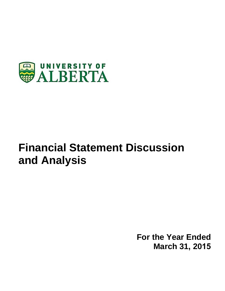

# **Financial Statement Discussion and Analysis**

**For the Year Ended March 31, 2015**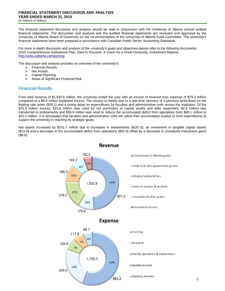The financial statement discussion and analysis should be read in conjunction with the University of Alberta annual audited financial statements. The discussion and analysis and the audited financial statements are reviewed and approved by the University of Alberta Board of Governors on the recommendation of the University of Alberta Audit Committee. The university's financial statements have been prepared in accordance with Canadian Public Sector Accounting Standards.

For more in-depth discussion and analysis of the university's goals and objectives please refer to the following documents: 2015 Comprehensive Institutional Plan, Dare to Discover: A Vision for a Great University, Investment Reports. http://uofa.ualberta.ca/reporting

The discussion and analysis provides an overview of the university's:

- Financial Results
- $\triangleright$  Net Assets<br>  $\triangleright$  Capital Play
- $\triangleright$  Capital Planning<br> $\triangleright$  Areas of Significal
- Areas of Significant Financial Risk

## Financial Results

From total revenue of \$1,830.8 million, the university ended the year with an excess of revenue over expense of \$75.3 million compared to a \$9.5 million budgeted excess. The excess is mainly due to a one-time recovery of a previous write-down on the floating rate notes (\$29.1) and a timing delay on expenditures by faculties and administrative units across the institution. Of the \$75.3 million excess, \$15.8 million was used for net purchases of capital assets and debt repayment, \$2.6 million was transferred to endowments and \$56.9 million was used to reduce the accumulated deficit from operations from \$89.1 million to \$32.2 million. It is anticipated that faculties and administrative units will utilize their accumulated surplus to fund expenditures to support the university in reaching its strategic goals.

Net assets increased by \$251.7 million due to increases in endowments (\$187.8), an investment in tangible capital assets (\$15.8) and a decrease in the accumulated deficit from operations (\$56.9) offset by a decrease in unrealized investment gains (\$8.8).



Revenue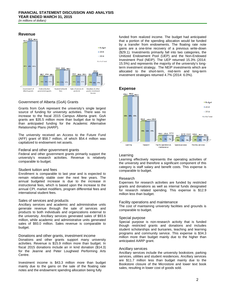

### Government of Alberta (GoA) Grants

Grants from GoA represent the university's single largest source of funding for university activities. There was no increase to the fiscal 2015 Campus Alberta grant. GoA grants are \$35.5 million more than budget due to higher than anticipated funding for the Academic Alternative Relationship Plans (AARP).

The university received an Access to the Future Fund (AFF) grant of \$58.7 million, of which \$54.4 million was capitalized to endowment net assets.

#### Federal and other government grants

Federal and other government grants primarily support the university's research activities. Revenue is relatively comparable to budget.

#### Student tuition and fees

Enrollment is comparable to last year and is expected to remain relatively stable over the next few years. The annual budgeted increase is due to the increase in instructional fees, which is based upon the increase to the annual CPI, market modifiers, program differential fees and international student fees.

#### Sales of services and products

Ancillary services and academic and administrative units generate revenue through the sale of services and products to both individuals and organizations external to the university. Ancillary services generated sales of \$93.6 million, while academic and administrative units generated sales of \$93.0 million. Sales revenue is comparable to budget.

#### Donations and other grants, investment income

Donations and other grants support many university activities. Revenue is \$15.9 million more than budget. In fiscal 2015 donations include an in kind donation (\$14.3) for the Jeanne and Peter Lougheed Performing Arts Centre.

Investment income is \$43.3 million more than budget mainly due to the gains on the sale of the floating rate notes and the endowment spending allocation being fully

funded from realized income. The budget had anticipated that a portion of the spending allocation would be funded by a transfer from endowments. The floating rate note gains are a one-time recovery of a previous write-down (\$29.1). Investments primarily fall into two categories, the Unitized Endowment Pool (UEP) and the Non-Endowed Investment Pool (NEIP). The UEP returned 15.3% (2014: 15.5%) and represents the majority of the university's longterm investment strategy. The NEIP investments which are allocated to the short-term, mid-term and long-term investment strategies returned 4.7% (2014: 6.0%).

#### **Expense**



#### Learning

Learning effectively represents the operating activities of the university and therefore a significant component of this category is staff salary and benefit costs. This expense is comparable to budget.

#### Research

Expenses for research activities are funded by restricted grants and donations as well as internal funds designated for research related spending. This expense is \$12.9 million less than budget.

#### Facility operations and maintenance

The cost of maintaining university facilities and grounds is comparable to budget.

#### Special purpose

Special purpose is non-research activity that is funded though restricted grants and donations and includes student scholarships and bursaries, teaching and learning programs and community service. This expense is \$34.3 million more than budget mainly due to the higher than anticipated AARP grant.

#### Ancillary services

Ancillary services include the university bookstore, parking services, utilities and student residences. Ancillary services are \$11.7 million less than budget mainly due to the Bookstore closure of the Microstore and lower text book sales, resulting in lower cost of goods sold.